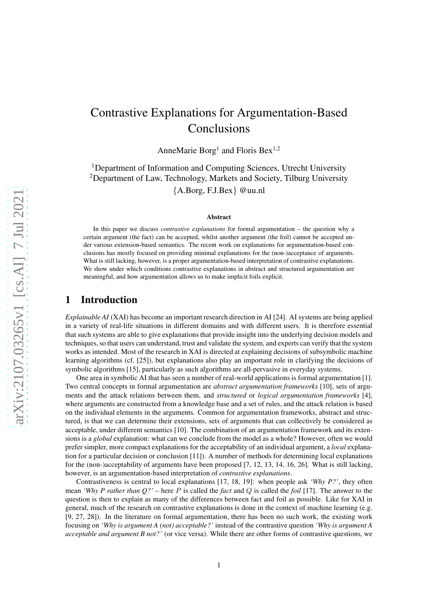# arXiv:2107.03265v1 [cs.AI] 7 Jul 2021 [arXiv:2107.03265v1 \[cs.AI\] 7 Jul 2021](http://arxiv.org/abs/2107.03265v1)

# Contrastive Explanations for Argumentation-Based Conclusions

AnneMarie Borg<sup>1</sup> and Floris Bex<sup>1,2</sup>

<sup>1</sup>Department of Information and Computing Sciences, Utrecht University <sup>2</sup>Department of Law, Technology, Markets and Society, Tilburg University {A.Borg, F.J.Bex} @uu.nl

### Abstract

In this paper we discuss *contrastive explanations* for formal argumentation – the question why a certain argument (the fact) can be accepted, whilst another argument (the foil) cannot be accepted under various extension-based semantics. The recent work on explanations for argumentation-based conclusions has mostly focused on providing minimal explanations for the (non-)acceptance of arguments. What is still lacking, however, is a proper argumentation-based interpretation of contrastive explanations. We show under which conditions contrastive explanations in abstract and structured argumentation are meaningful, and how argumentation allows us to make implicit foils explicit.

# 1 Introduction

*Explainable AI* (XAI) has become an important research direction in AI [\[24\]](#page-15-0). AI systems are being applied in a variety of real-life situations in different domains and with different users. It is therefore essential that such systems are able to give explanations that provide insight into the underlying decision models and techniques, so that users can understand, trust and validate the system, and experts can verify that the system works as intended. Most of the research in XAI is directed at explaining decisions of subsymbolic machine learning algorithms (cf. [\[25\]](#page-15-1)), but explanations also play an important role in clarifying the decisions of symbolic algorithms [\[15\]](#page-14-0), particularly as such algorithms are all-pervasive in everyday systems.

One area in symbolic AI that has seen a number of real-world applications is formal argumentation [\[1\]](#page-13-0). Two central concepts in formal argumentation are *abstract argumentation frameworks* [\[10\]](#page-14-1), sets of arguments and the attack relations between them, and *structured* or *logical argumentation frameworks* [\[4\]](#page-13-1), where arguments are constructed from a knowledge base and a set of rules, and the attack relation is based on the individual elements in the arguments. Common for argumentation frameworks, abstract and structured, is that we can determine their extensions, sets of arguments that can collectively be considered as acceptable, under different semantics [\[10\]](#page-14-1). The combination of an argumentation framework and its extensions is a *global* explanation: what can we conclude from the model as a whole? However, often we would prefer simpler, more compact explanations for the acceptability of an individual argument, a *local* explanation for a particular decision or conclusion [\[11\]](#page-14-2)). A number of methods for determining local explanations for the (non-)acceptability of arguments have been proposed [\[7,](#page-14-3) [12,](#page-14-4) [13,](#page-14-5) [14,](#page-14-6) [16,](#page-14-7) [26\]](#page-15-2). What is still lacking, however, is an argumentation-based interpretation of *contrastive explanations*.

Contrastiveness is central to local explanations [\[17,](#page-14-8) [18,](#page-14-9) [19\]](#page-14-10): when people ask *'Why P?'*, they often mean *'Why P rather than Q?'* – here P is called the *fact* and Q is called the *foil* [\[17\]](#page-14-8). The answer to the question is then to explain as many of the differences between fact and foil as possible. Like for XAI in general, much of the research on contrastive explanations is done in the context of machine learning (e.g. [\[9,](#page-14-11) [27,](#page-15-3) [28\]](#page-15-4)). In the literature on formal argumentation, there has been no such work, the existing work focusing on *'Why is argument A (not) acceptable?'* instead of the contrastive question *'Why is argument A acceptable and argument B not?'* (or vice versa). While there are other forms of contrastive questions, we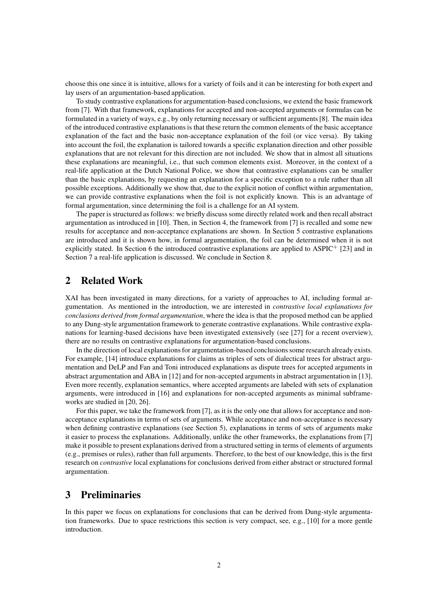choose this one since it is intuitive, allows for a variety of foils and it can be interesting for both expert and lay users of an argumentation-based application.

To study contrastive explanations for argumentation-based conclusions, we extend the basic framework from [\[7\]](#page-14-3). With that framework, explanations for accepted and non-accepted arguments or formulas can be formulated in a variety of ways, e.g., by only returning necessary or sufficient arguments [\[8\]](#page-14-12). The main idea of the introduced contrastive explanations is that these return the common elements of the basic acceptance explanation of the fact and the basic non-acceptance explanation of the foil (or vice versa). By taking into account the foil, the explanation is tailored towards a specific explanation direction and other possible explanations that are not relevant for this direction are not included. We show that in almost all situations these explanations are meaningful, i.e., that such common elements exist. Moreover, in the context of a real-life application at the Dutch National Police, we show that contrastive explanations can be smaller than the basic explanations, by requesting an explanation for a specific exception to a rule rather than all possible exceptions. Additionally we show that, due to the explicit notion of conflict within argumentation, we can provide contrastive explanations when the foil is not explicitly known. This is an advantage of formal argumentation, since determining the foil is a challenge for an AI system.

The paper is structured as follows: we briefly discuss some directly related work and then recall abstract argumentation as introduced in [\[10\]](#page-14-1). Then, in Section [4,](#page-3-0) the framework from [\[7\]](#page-14-3) is recalled and some new results for acceptance and non-acceptance explanations are shown. In Section [5](#page-6-0) contrastive explanations are introduced and it is shown how, in formal argumentation, the foil can be determined when it is not explicitly stated. In Section [6](#page-8-0) the introduced contrastive explanations are applied to ASPIC<sup>+</sup> [\[23\]](#page-15-5) and in Section [7](#page-12-0) a real-life application is discussed. We conclude in Section [8.](#page-13-2)

# 2 Related Work

XAI has been investigated in many directions, for a variety of approaches to AI, including formal argumentation. As mentioned in the introduction, we are interested in *contrastive local explanations for conclusions derived from formal argumentation*, where the idea is that the proposed method can be applied to any Dung-style argumentation framework to generate contrastive explanations. While contrastive explanations for learning-based decisions have been investigated extensively (see [\[27\]](#page-15-3) for a recent overview), there are no results on contrastive explanations for argumentation-based conclusions.

In the direction of local explanations for argumentation-based conclusions some research already exists. For example, [\[14\]](#page-14-6) introduce explanations for claims as triples of sets of dialectical trees for abstract argumentation and DeLP and Fan and Toni introduced explanations as dispute trees for accepted arguments in abstract argumentation and ABA in [\[12\]](#page-14-4) and for non-accepted arguments in abstract argumentation in [\[13\]](#page-14-5). Even more recently, explanation semantics, where accepted arguments are labeled with sets of explanation arguments, were introduced in [\[16\]](#page-14-7) and explanations for non-accepted arguments as minimal subframeworks are studied in [\[20,](#page-14-13) [26\]](#page-15-2).

For this paper, we take the framework from [\[7\]](#page-14-3), as it is the only one that allows for acceptance and nonacceptance explanations in terms of sets of arguments. While acceptance and non-acceptance is necessary when defining contrastive explanations (see Section [5\)](#page-6-0), explanations in terms of sets of arguments make it easier to process the explanations. Additionally, unlike the other frameworks, the explanations from [\[7\]](#page-14-3) make it possible to present explanations derived from a structured setting in terms of elements of arguments (e.g., premises or rules), rather than full arguments. Therefore, to the best of our knowledge, this is the first research on *contrastive* local explanations for conclusions derived from either abstract or structured formal argumentation.

# 3 Preliminaries

In this paper we focus on explanations for conclusions that can be derived from Dung-style argumentation frameworks. Due to space restrictions this section is very compact, see, e.g., [\[10\]](#page-14-1) for a more gentle introduction.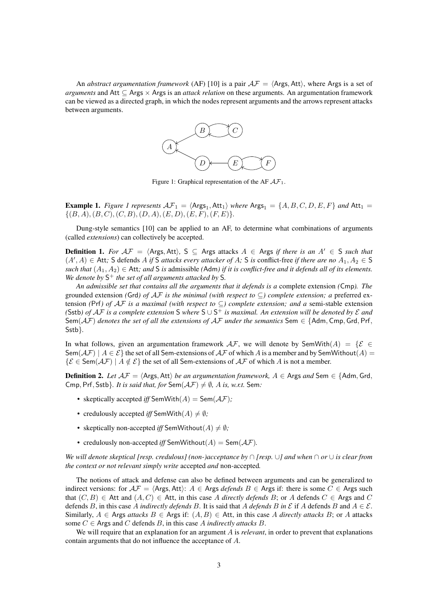<span id="page-2-0"></span>An *abstract argumentation framework* (AF) [\[10\]](#page-14-1) is a pair  $A\mathcal{F} = \langle \text{Args}, \text{Att} \rangle$ , where Args is a set of *arguments* and Att ⊆ Args × Args is an *attack relation* on these arguments. An argumentation framework can be viewed as a directed graph, in which the nodes represent arguments and the arrows represent attacks between arguments.



Figure 1: Graphical representation of the AF  $A\mathcal{F}_1$ .

<span id="page-2-1"></span>**Example [1](#page-2-0).** Figure 1 represents  $\mathcal{AF}_1 = \langle \mathsf{Args}_1, \mathsf{Att}_1 \rangle$  where  $\mathsf{Args}_1 = \{A, B, C, D, E, F\}$  and  $\mathsf{Att}_1 =$  $\{(B, A), (B, C), (C, B), (D, A), (E, D), (E, F), (F, E)\}.$ 

Dung-style semantics [\[10\]](#page-14-1) can be applied to an AF, to determine what combinations of arguments (called *extensions*) can collectively be accepted.

**Definition 1.** *For*  $AF = \langle \text{Args}, \text{Att}\rangle$ , S ⊆ Args attacks  $A \in \text{Args}$  *if there is an*  $A' \in \text{S}$  *such that*  $(A', A) \in$  Att; S defends A *if* S *attacks every attacker of A*; S *is* conflict-free *if there are no*  $A_1, A_2 \in$  S *such that*  $(A_1, A_2)$  ∈ Att; and S *is* admissible (Adm) *if it is conflict-free and it defends all of its elements. We denote by* S <sup>+</sup> *the set of all arguments attacked by* S*.*

*An admissible set that contains all the arguments that it defends is a* complete extension *(*Cmp*). The* grounded extension *(Grd) of AF is the minimal (with respect to*  $\subseteq$ *) complete extension; a* preferred extension *(*Prf*) of* AF *is a maximal (with respect to* ⊆*) complete extension; and a* semi-stable extension *(*Sstb*) of* AF *is a complete extension* S *where* S ∪ S <sup>+</sup> *is maximal. An extension will be denoted by* E *and* Sem( $AF$ ) *denotes the set of all the extensions of*  $AF$  *under the semantics* Sem  $\in$  {Adm, Cmp, Grd, Prf, Sstb}*.*

In what follows, given an argumentation framework  $A\mathcal{F}$ , we will denote by SemWith $(A) = \{ \mathcal{E} \in$ Sem $(\mathcal{AF})$  |  $A \in \mathcal{E}$ } the set of all Sem-extensions of  $\mathcal{AF}$  of which A is a member and by SemWithout $(A)$  =  $\{\mathcal{E} \in \textsf{Sem}(\mathcal{AF}) \mid A \notin \mathcal{E}\}\$ the set of all Sem-extensions of  $\mathcal{AF}$  of which A is not a member.

**Definition 2.** *Let*  $AF = \langle \text{Args}, \text{Att} \rangle$  *be an argumentation framework,*  $A \in \text{Args}$  *and* Sem  $\in$  {Adm, Grd, Cmp, Prf, Sstb}. *It is said that, for* Sem( $\mathcal{AF}$ )  $\neq \emptyset$ , *A is, w.r.t.* Sem:

- skeptically accepted *iff* SemWith $(A)$  = Sem $(AF)$ ;
- credulously accepted *iff* SemWith $(A) \neq \emptyset$ ;
- skeptically non-accepted *iff* SemWithout( $A$ )  $\neq \emptyset$ ;
- credulously non-accepted *iff* SemWithout( $A$ ) = Sem( $A$ F).

*We will denote skeptical [resp. credulous] (non-)acceptance by* ∩ *[resp.* ∪*] and when* ∩ *or* ∪ *is clear from the context or not relevant simply write* accepted *and* non-accepted*.*

The notions of attack and defense can also be defined between arguments and can be generalized to indirect versions: for  $A\mathcal{F} = \langle \text{Args}, \text{Att} \rangle$ :  $A \in \text{Args}$  *defends*  $B \in \text{Args}$  if: there is some  $C \in \text{Args}$  such that  $(C, B)$  ∈ Att and  $(A, C)$  ∈ Att, in this case A *directly defends* B; or A defends  $C$  ∈ Args and C defends B, in this case A *indirectly defends* B. It is said that A defends B in  $\mathcal E$  if A defends B and  $A \in \mathcal E$ . Similarly,  $A \in \text{Args}$  *attacks*  $B \in \text{Args}$  if:  $(A, B) \in \text{Att}$ , in this case A directly attacks B; or A attacks some  $C \in$  Args and C defends B, in this case A *indirectly attacks* B.

We will require that an explanation for an argument A is *relevant*, in order to prevent that explanations contain arguments that do not influence the acceptance of A.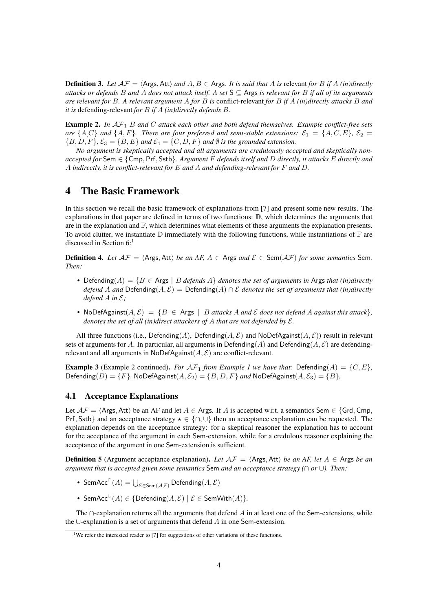**Definition 3.** Let  $\mathcal{AF} = \langle \mathsf{Args}, \mathsf{Att} \rangle$  and  $A, B \in \mathsf{Args}$ . It is said that A is relevant for B if A (in)directly *attacks or defends* B *and* A *does not attack itself. A set* S ⊆ Args *is relevant for* B *if all of its arguments are relevant for* B*. A relevant argument* A *for* B *is* conflict-relevant *for* B *if* A *(in)directly attacks* B *and it is* defending-relevant *for* B *if* A *(in)directly defends* B*.*

<span id="page-3-2"></span>Example 2. *In* AF<sup>1</sup> B *and* C *attack each other and both defend themselves. Example conflict-free sets are*  $\{A, C\}$  *and*  $\{A, F\}$ *. There are four preferred and semi-stable extensions:*  $\mathcal{E}_1 = \{A, C, E\}$ *,*  $\mathcal{E}_2 =$  ${B, D, F}$ ,  ${\mathcal{E}_3 = {B, E}$  *and*  ${\mathcal{E}_4 = {C, D, F}}$  *and*  $\emptyset$  *is the grounded extension.* 

*No argument is skeptically accepted and all arguments are credulously accepted and skeptically nonaccepted for* Sem ∈ {Cmp, Prf, Sstb}*. Argument* F *defends itself and* D *directly, it attacks* E *directly and* A *indirectly, it is conflict-relevant for* E *and* A *and defending-relevant for* F *and* D*.*

# <span id="page-3-0"></span>4 The Basic Framework

In this section we recall the basic framework of explanations from [\[7\]](#page-14-3) and present some new results. The explanations in that paper are defined in terms of two functions: D, which determines the arguments that are in the explanation and  $\mathbb{F}$ , which determines what elements of these arguments the explanation presents. To avoid clutter, we instantiate  $D$  immediately with the following functions, while instantiations of  $F$  are discussed in Section [6:](#page-8-0)<sup>[1](#page-3-1)</sup>

**Definition 4.** *Let*  $AF = \langle \text{Args}, \text{Att} \rangle$  *be an AF,*  $A \in \text{Args}$  *and*  $\mathcal{E} \in \text{Sem}(AF)$  *for some semantics* Sem. *Then:*

- Defending( $A$ ) = { $B \in$  Args |  $B$  *defends*  $A$ } *denotes the set of arguments in* Args *that (in)directly defend* A and Defending( $A, \mathcal{E}$ ) = Defending( $A$ )  $\cap$  E denotes the set of arguments that (in)directly *defend* A *in* E*;*
- NoDefAgainst $(A, \mathcal{E}) = \{B \in \text{Args} \mid B \text{ attacks } A \text{ and } \mathcal{E} \text{ does not defend } A \text{ against this attack}\}\$ *denotes the set of all (in)direct attackers of* A *that are not defended by* E*.*

All three functions (i.e., Defending(A), Defending(A, E) and NoDefAgainst(A, E)) result in relevant sets of arguments for A. In particular, all arguments in Defending(A) and Defending(A,  $\mathcal{E}$ ) are defendingrelevant and all arguments in NoDefAgainst $(A, \mathcal{E})$  are conflict-relevant.

<span id="page-3-3"></span>**Example 3** (Example [2](#page-3-2) continued). *For*  $\mathcal{AF}_1$  *from Example [1](#page-2-1) we have that:* Defending( $A$ ) = {C,  $E$ }, Defending(D) =  $\{F\}$ , NoDefAgainst( $A, \mathcal{E}_2$ ) =  $\{B, D, F\}$  *and* NoDefAgainst( $A, \mathcal{E}_3$ ) =  $\{B\}$ .

### 4.1 Acceptance Explanations

Let  $\mathcal{AF} = \langle \text{Args}, \text{Att} \rangle$  be an AF and let  $A \in \text{Args}$ . If A is accepted w.r.t. a semantics Sem  $\in \{\text{Grd}, \text{Cmp}, \text{Grd}\}$ Prf, Sstb} and an acceptance strategy  $\star \in \{\cap, \cup\}$  then an acceptance explanation can be requested. The explanation depends on the acceptance strategy: for a skeptical reasoner the explanation has to account for the acceptance of the argument in each Sem-extension, while for a credulous reasoner explaining the acceptance of the argument in one Sem-extension is sufficient.

**Definition 5** (Argument acceptance explanation). Let  $AF = \langle \text{Args}, \text{Att} \rangle$  *be an AF, let*  $A \in \text{Args}$  *be an argument that is accepted given some semantics* Sem *and an acceptance strategy (*∩ *or* ∪*). Then:*

- SemAcc $\bigcap(A) = \bigcup_{\mathcal{E} \in \mathsf{Sem}(\mathcal{AF})} \mathsf{Defending}(A, \mathcal{E})$
- SemAcc<sup>∪</sup> $(A) \in \{ \mathsf{Defending}(A, \mathcal{E}) \mid \mathcal{E} \in \mathsf{SemWith}(A) \}.$

The  $\cap$ -explanation returns all the arguments that defend A in at least one of the Sem-extensions, while the ∪-explanation is a set of arguments that defend A in one Sem-extension.

<span id="page-3-1"></span><sup>&</sup>lt;sup>1</sup>We refer the interested reader to [\[7\]](#page-14-3) for suggestions of other variations of these functions.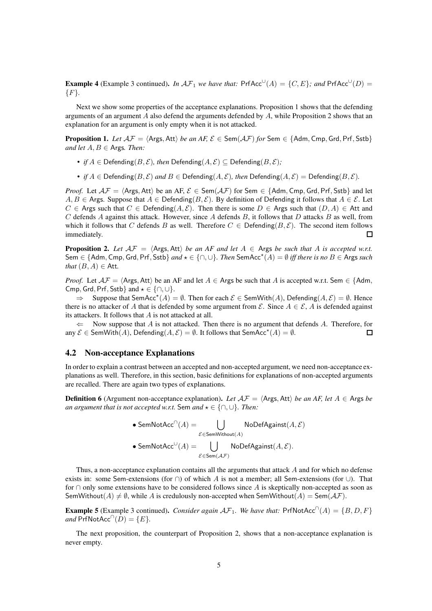<span id="page-4-2"></span>**Example 4** (Example [3](#page-3-3) continued). *In*  $\mathcal{AF}_1$  *we have that:*  $PrfAcc^{\cup}(A) = \{C, E\}$ ; and  $PrfAcc^{\cup}(D) =$ {F}*.*

Next we show some properties of the acceptance explanations. Proposition [1](#page-4-0) shows that the defending arguments of an argument A also defend the arguments defended by  $A$ , while Proposition [2](#page-4-1) shows that an explanation for an argument is only empty when it is not attacked.

<span id="page-4-0"></span>**Proposition 1.** Let  $AF = \langle \text{Args}, \text{Att} \rangle$  be an AF,  $\mathcal{E} \in \text{Sem}(\mathcal{AF})$  for Sem  $\in \{\text{Adm}, \text{Cmp}, \text{Grd}, \text{Prf}, \text{Sstb}\}\$ *and let*  $A, B \in \text{A}$ rgs. *Then*:

- *if*  $A \in \text{Defending}(B, \mathcal{E})$ *, then*  $\text{Defending}(A, \mathcal{E}) \subseteq \text{Defending}(B, \mathcal{E})$ *;*
- *if*  $A \in$  Defending( $B, \mathcal{E}$ ) *and*  $B \in$  Defending( $A, \mathcal{E}$ )*, then* Defending( $A, \mathcal{E}$ ) = Defending( $B, \mathcal{E}$ ).

*Proof.* Let  $A\mathcal{F} = \langle \text{Args}, \text{Att} \rangle$  be an AF,  $\mathcal{E} \in \text{Sem}(\mathcal{AF})$  for Sem  $\in \{\text{Adm}, \text{Cmp}, \text{Grd}, \text{Prf}, \text{Sstb}\}\$ and let A,  $B \in \mathsf{A}$ rgs. Suppose that  $A \in \mathsf{Defending}(B, \mathcal{E})$ . By definition of Defending it follows that  $A \in \mathcal{E}$ . Let  $C \in \mathsf{A}$ rgs such that  $C \in \mathsf{Defending}(A, \mathcal{E})$ . Then there is some  $D \in \mathsf{A}$ rgs such that  $(D, A) \in \mathsf{Att}$  and C defends A against this attack. However, since A defends B, it follows that D attacks B as well, from which it follows that C defends B as well. Therefore  $C \in$  Defending( $B, \mathcal{E}$ ). The second item follows immediately.  $\Box$ 

<span id="page-4-1"></span>**Proposition 2.** Let  $AF = \langle \text{Args}, \text{Att} \rangle$  *be an AF and let*  $A \in \text{Args}$  *be such that* A *is accepted w.r.t.*  $\mathsf{Sem} \in \{\mathsf{Adm},\mathsf{Cmp},\mathsf{Grd},\mathsf{Prf},\mathsf{Sstb}\}$  and  $\star \in \{\cap,\cup\}$ . Then  $\mathsf{SemAcc}^{\star}(A)=\emptyset$  iff there is no  $B\in\mathsf{Args}$  such *that*  $(B, A) \in$  Att.

*Proof.* Let  $A\mathcal{F} = \langle \text{Args}, \text{Att} \rangle$  be an AF and let  $A \in \text{Args}$  be such that A is accepted w.r.t. Sem  $\in \{\text{Adm}, \text{diag}\}$ Cmp, Grd, Prf, Sstb} and  $\star \in \{\cap, \cup\}.$ 

 $\Rightarrow$  Suppose that SemAcc<sup>\*</sup>(A) = Ø. Then for each  $\mathcal{E} \in$  SemWith(A), Defending(A,  $\mathcal{E}$ ) = Ø. Hence there is no attacker of A that is defended by some argument from  $\mathcal{E}$ . Since  $A \in \mathcal{E}$ , A is defended against its attackers. It follows that  $A$  is not attacked at all.

 $\Leftarrow$  Now suppose that A is not attacked. Then there is no argument that defends A. Therefore, for any  $\mathcal{E}\in \mathsf{SemWith}(A),$  Defending $(A,\mathcal{E})=\emptyset.$  It follows that  $\mathsf{SemAcc}^\star(A)=\emptyset.$  $\Box$ 

### 4.2 Non-acceptance Explanations

In order to explain a contrast between an accepted and non-accepted argument, we need non-acceptance explanations as well. Therefore, in this section, basic definitions for explanations of non-accepted arguments are recalled. There are again two types of explanations.

**Definition 6** (Argument non-acceptance explanation). Let  $\mathcal{AF} = \langle \mathsf{Args}, \mathsf{Att} \rangle$  *be an AF, let*  $A \in \mathsf{Args}$  *be an argument that is not accepted w.r.t.* Sem  $and \star \in \{\cap, \cup\}$ *. Then:* 

\n- SemNotAcc<sup>$$
\cap
$$</sup>(A) =  $\bigcup_{\mathcal{E} \in \text{SemWithout}(A)} \text{NoDefAgainst}(A, \mathcal{E})$
\n- SemNotAcc <sup>$\cup$</sup> (A) =  $\bigcup_{\mathcal{E} \in \text{Sem}(\mathcal{A}, \mathcal{F})} \text{NoDefAgainst}(A, \mathcal{E}).$
\n

Thus, a non-acceptance explanation contains all the arguments that attack A and for which no defense exists in: some Sem-extensions (for  $\cap$ ) of which A is not a member; all Sem-extensions (for  $\cup$ ). That for ∩ only some extensions have to be considered follows since A is skeptically non-accepted as soon as SemWithout(A)  $\neq \emptyset$ , while A is credulously non-accepted when SemWithout(A) = Sem(AF).

<span id="page-4-3"></span>**Example 5** (Example [3](#page-3-3) continued). *Consider again*  $\mathcal{AF}_1$ . We have that: PrfNotAcc<sup>∩</sup>(A) = {B, D, F}  $and$  PrfNotAcc<sup>∩</sup> $(D) = \{E\}.$ 

The next proposition, the counterpart of Proposition [2,](#page-4-1) shows that a non-acceptance explanation is never empty.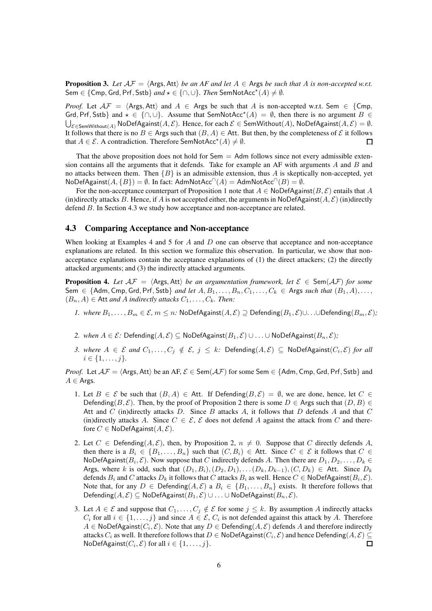<span id="page-5-1"></span>**Proposition 3.** Let  $\mathcal{AF} = \langle \mathsf{Args}, \mathsf{Att} \rangle$  *be an AF and let*  $A \in \mathsf{Args}$  *be such that* A *is non-accepted w.r.t.*  $\mathsf{Sem} \in \{\mathsf{Cmp}, \mathsf{Grd}, \mathsf{Prf}, \mathsf{Sstb}\}$   $and \star \in \{\cap, \cup\}$ . Then  $\mathsf{SemNotAcc}^{\star}(A) \neq \emptyset$ .

*Proof.* Let  $AF = \langle \text{Args}, \text{Att} \rangle$  and  $A \in \text{Args}$  be such that A is non-accepted w.r.t. Sem  $\in \{\text{Cmp}, \text{Mmp}\}$ Grd, Prf, Sstb} and  $\star \in \{\cap, \cup\}$ . Assume that SemNotAcc<sup>\*</sup>(A) = Ø, then there is no argument  $B \in$  $\bigcup_{\mathcal{E} \in \mathsf{SemWithout}(A)} \mathsf{NoDefAgainst}(A,\mathcal{E}).$  Hence, for each  $\mathcal{E} \in \mathsf{SemWithout}(A), \mathsf{NoDefAgainst}(A,\mathcal{E}) = \emptyset.$ It follows that there is no  $B \in \text{Args}$  such that  $(B, A) \in \text{Att}$ . But then, by the completeness of  $\mathcal E$  it follows that  $A \in \mathcal{E}$ . A contradiction. Therefore SemNotAcc<sup>\*</sup> $(A) \neq \emptyset$ . П

That the above proposition does not hold for Sem  $=$  Adm follows since not every admissible extension contains all the arguments that it defends. Take for example an AF with arguments  $\vec{A}$  and  $\vec{B}$  and no attacks between them. Then  ${B}$  is an admissible extension, thus A is skeptically non-accepted, yet  $\mathsf{NoDefAgainst}(A, \{B\}) = \emptyset.$  In fact:  $\mathsf{AdmNotAcc}^{\cap}(A) = \mathsf{AdmNotAcc}^{\cap}(B) = \emptyset.$ 

For the non-acceptance counterpart of Proposition [1](#page-4-0) note that  $A \in \text{NoDefAgainst}(B, \mathcal{E})$  entails that A (in)directly attacks B. Hence, if A is not accepted either, the arguments in NoDefAgainst( $A, \mathcal{E}$ ) (in)directly defend B. In Section [4.3](#page-5-0) we study how acceptance and non-acceptance are related.

### <span id="page-5-0"></span>4.3 Comparing Acceptance and Non-acceptance

When looking at Examples [4](#page-4-2) and [5](#page-4-3) for  $A$  and  $D$  one can observe that acceptance and non-acceptance explanations are related. In this section we formalize this observation. In particular, we show that nonacceptance explanations contain the acceptance explanations of (1) the direct attackers; (2) the directly attacked arguments; and (3) the indirectly attacked arguments.

<span id="page-5-2"></span>**Proposition 4.** Let  $AF = \langle \text{Args}, \text{Att} \rangle$  *be an argumentation framework, let*  $\mathcal{E} \in \text{Sem}(\mathcal{AF})$  *for some* Sem ∈ {Adm, Cmp, Grd, Prf, Sstb} *and let*  $A, B_1, \ldots, B_n, C_1, \ldots, C_k$  ∈ Args *such that*  $(B_1, A), \ldots$ ,  $(B_n, A) \in$  Att *and A indirectly attacks*  $C_1, \ldots, C_k$ *. Then:* 

- <span id="page-5-3"></span>*1. where*  $B_1, \ldots, B_m \in \mathcal{E}, m \leq n$ : NoDefAgainst $(A, \mathcal{E})$  ⊇ Defending $(B_1, \mathcal{E}) \cup \ldots \cup$ Defending $(B_m, \mathcal{E})$ *;*
- <span id="page-5-4"></span>2. when  $A \in \mathcal{E}$ : Defending $(A, \mathcal{E})$  ⊆ NoDefAgainst $(B_1, \mathcal{E})$  ∪ . . ∪ NoDefAgainst $(B_n, \mathcal{E})$ *;*
- *3. where*  $A \in \mathcal{E}$  *and*  $C_1, \ldots, C_j \notin \mathcal{E}, j \leq k$ *:*  $\mathsf{Defending}(A, \mathcal{E}) \subseteq \mathsf{NoDefAgainst}(C_i, \mathcal{E})$  *<i>for all*  $i \in \{1, \ldots, j\}.$

*Proof.* Let  $A\mathcal{F} = \langle \text{Args}, \text{Att} \rangle$  be an AF,  $\mathcal{E} \in \text{Sem}(\mathcal{AF})$  for some Sem  $\in \{\text{Adm}, \text{Cmp}, \text{Grd}, \text{Prf}, \text{Sstb}\}\$  and  $A \in$  Args.

- 1. Let  $B \in \mathcal{E}$  be such that  $(B, A) \in$  Att. If Defending $(B, \mathcal{E}) = \emptyset$ , we are done, hence, let  $C \in$ Defending(B, E). Then, by the proof of Proposition [2](#page-4-1) there is some  $D \in \mathsf{A}$ rgs such that  $(D, B) \in$ Att and C (in)directly attacks D. Since B attacks A, it follows that D defends A and that C (in)directly attacks A. Since  $C \in \mathcal{E}$ ,  $\mathcal{E}$  does not defend A against the attack from C and therefore  $C \in \mathsf{NoDefAgainst}(A, \mathcal{E}).$
- 2. Let  $C \in \text{Defending}(A, \mathcal{E})$ , then, by Proposition [2,](#page-4-1)  $n \neq 0$ . Suppose that C directly defends A, then there is a  $B_i \in \{B_1, \ldots, B_n\}$  such that  $(C, B_i) \in$  Att. Since  $C \in \mathcal{E}$  it follows that  $C \in \mathcal{E}$ NoDefAgainst $(B_i, \mathcal{E})$ . Now suppose that C indirectly defends A. Then there are  $D_1, D_2, \ldots, D_k \in$ Args, where k is odd, such that  $(D_1, B_i), (D_2, D_1), \ldots (D_k, D_{k-1}), (C, D_k) \in$  Att. Since  $D_k$ defends  $B_i$  and  $C$  attacks  $D_k$  it follows that  $C$  attacks  $B_i$  as well. Hence  $C \in \mathsf{NoDefAgainst}(B_i, \mathcal{E})$ . Note that, for any  $D \in \mathsf{Defending}(A, \mathcal{E})$  a  $B_i \in \{B_1, \ldots, B_n\}$  exists. It therefore follows that Defending( $A, E$ ) ⊆ NoDefAgainst( $B_1, E$ ) ∪ . . . ∪ NoDefAgainst( $B_n, E$ ).
- 3. Let  $A \in \mathcal{E}$  and suppose that  $C_1, \ldots, C_j \notin \mathcal{E}$  for some  $j \leq k$ . By assumption A indirectly attacks  $C_i$  for all  $i \in \{1, \ldots, j\}$  and since  $A \in \mathcal{E}$ ,  $C_i$  is not defended against this attack by A. Therefore  $A \in \mathsf{NoDefAgainst}(C_i, \mathcal{E})$ . Note that any  $D \in \mathsf{Defending}(A, \mathcal{E})$  defends A and therefore indirectly attacks  $C_i$  as well. It therefore follows that  $D\in\mathsf{NoDefAgainst}(C_i,\mathcal{E})$  and hence  $\mathsf{Defending}(A,\mathcal{E})\subseteq$  $\Box$ NoDefAgainst $(C_i, \mathcal{E})$  for all  $i \in \{1, \ldots, j\}$ .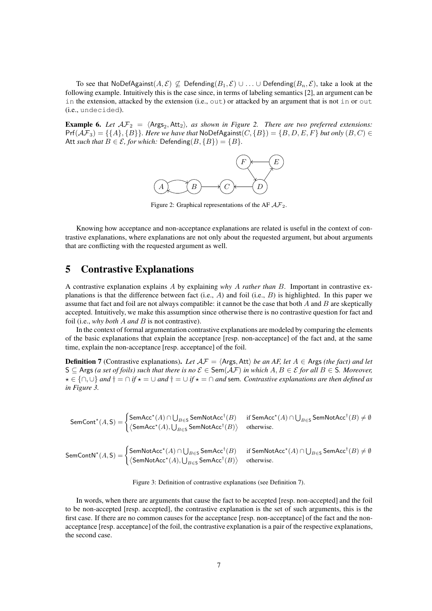To see that NoDefAgainst $(A, \mathcal{E}) \not\subseteq$  Defending $(B_1, \mathcal{E}) \cup \ldots \cup$  Defending $(B_n, \mathcal{E})$ , take a look at the following example. Intuitively this is the case since, in terms of labeling semantics [\[2\]](#page-13-3), an argument can be in the extension, attacked by the extension (i.e., out) or attacked by an argument that is not in or out (i.e., undecided).

<span id="page-6-1"></span>**Example 6.** Let  $AF_2 = \langle \text{Args}_2, \text{Att}_2 \rangle$ *, as shown in Figure* [2.](#page-6-1) *There are two preferred extensions:*  $Pr(AF_3) = \{\{A\}, \{B\}\}\$ . Here we have that  $NoDefAgainst(C, \{B\}) = \{B, D, E, F\}$  *but only*  $(B, C) \in$ Att *such that*  $B \in \mathcal{E}$ , for which: Defending( $B$ , { $B$ }) = { $B$ }.



Figure 2: Graphical representations of the AF  $A\mathcal{F}_2$ .

Knowing how acceptance and non-acceptance explanations are related is useful in the context of contrastive explanations, where explanations are not only about the requested argument, but about arguments that are conflicting with the requested argument as well.

# <span id="page-6-0"></span>5 Contrastive Explanations

A contrastive explanation explains A by explaining *why* A *rather than* B. Important in contrastive explanations is that the difference between fact (i.e., A) and foil (i.e., B) is highlighted. In this paper we assume that fact and foil are not always compatible: it cannot be the case that both  $A$  and  $B$  are skeptically accepted. Intuitively, we make this assumption since otherwise there is no contrastive question for fact and foil (i.e., *why both* A *and* B is not contrastive).

In the context of formal argumentation contrastive explanations are modeled by comparing the elements of the basic explanations that explain the acceptance [resp. non-acceptance] of the fact and, at the same time, explain the non-acceptance [resp. acceptance] of the foil.

<span id="page-6-3"></span>**Definition 7** (Contrastive explanations). Let  $A\mathcal{F} = \langle \text{Args}, \text{Att} \rangle$  be an AF, let  $A \in \text{Args}$  *(the fact) and let* S ⊂ Args (a set of foils) such that there is no  $\mathcal{E}$  ∈ Sem( $\mathcal{AF}$ ) in which  $A, B \in \mathcal{E}$  for all  $B \in S$ *. Moreover,*  $\star \in \{\cap, \cup\}$  *and*  $\dagger = \cap$  *if*  $\star = \cup$  *and*  $\dagger = \cup$  *if*  $\star = \cap$  *and* sem. Contrastive explanations are then defined as *in Figure [3.](#page-6-2)*

<span id="page-6-2"></span> $\mathsf{SemCont}^\star(A, \mathsf{S}) = \begin{cases} \mathsf{SemAcc}^\star(A) \cap \bigcup_{B \in \mathsf{S}} \mathsf{SemNotAcc}^\dagger(B) & \text{if } \mathsf{SemAcc}^\star(A) \cap \bigcup_{B \in \mathsf{S}} \mathsf{SemNotAcc}^\dagger(B) \neq \emptyset \end{cases}$  $\left\langle \mathsf{SemAcc}^{\star}(A), \bigcup_{B \in \mathsf{S}} \mathsf{SemNotAcc}^{\dagger}(B) \right\rangle$  otherwise.

 $\mathsf{SemContN}^\star(A, \mathsf{S}) = \begin{cases} \mathsf{SemNotAcc}^\star(A) \cap \bigcup_{B \in \mathsf{S}} \mathsf{SemAcc}^\dagger(B) & \text{if } \mathsf{SemNotAcc}^\star(A) \cap \bigcup_{B \in \mathsf{S}} \mathsf{SemAcc}^\dagger(B) \neq \emptyset \end{cases}$  $\left\langle \mathsf{SemNotAcc}^{\star}(A), \bigcup_{B \in \mathsf{S}} \mathsf{SemAcc}^{\dagger}(B) \right\rangle \quad \text{ otherwise.}$ 

Figure 3: Definition of contrastive explanations (see Definition [7\)](#page-6-3).

In words, when there are arguments that cause the fact to be accepted [resp. non-accepted] and the foil to be non-accepted [resp. accepted], the contrastive explanation is the set of such arguments, this is the first case. If there are no common causes for the acceptance [resp. non-acceptance] of the fact and the nonacceptance [resp. acceptance] of the foil, the contrastive explanation is a pair of the respective explanations, the second case.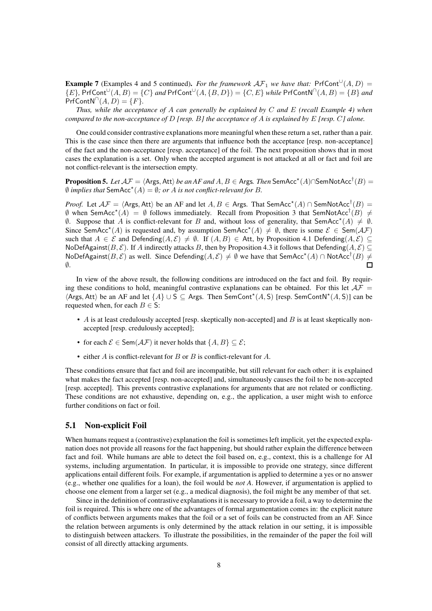<span id="page-7-0"></span>**Example 7** (Examples [4](#page-4-2) and [5](#page-4-3) continued). *For the framework*  $\mathcal{AF}_1$  *we have that:* PrfCont<sup>U</sup> $(A, D)$  =  ${E}$ , PrfCont<sup>U</sup>(A, B) = {C} and PrfCont<sup>U</sup>(A, {B, D}) = {C, E} while PrfContN<sup>∩</sup>(A, B) = {B} and  $Prf\text{ContN}^{\cap}(A, D) = \{F\}.$ 

*Thus, while the acceptance of* A *can generally be explained by* C *and* E *(recall Example [4\)](#page-4-2) when compared to the non-acceptance of* D *[resp.* B*] the acceptance of* A *is explained by* E *[resp.* C*] alone.*

One could consider contrastive explanations more meaningful when these return a set, rather than a pair. This is the case since then there are arguments that influence both the acceptance [resp. non-acceptance] of the fact and the non-acceptance [resp. acceptance] of the foil. The next proposition shows that in most cases the explanation is a set. Only when the accepted argument is not attacked at all or fact and foil are not conflict-relevant is the intersection empty.

<span id="page-7-1"></span> $\bf{Proposition 5.}$   $Let \, \mathcal{AF} = \langle \mathsf{Args}, \mathsf{Att} \rangle$  *be an AF and*  $A, B \in \mathsf{Args}.$  *Then*  $\mathsf{SemAcc}^{\star}(A) \cap \mathsf{SemNotAcc}^{\dagger}(B) =$  $\emptyset$  *implies that* SemAcc<sup>\*</sup>(A) =  $\emptyset$ *; or A is not conflict-relevant for B.* 

*Proof.* Let  $A\mathcal{F} = \langle \text{Args}, \text{Att} \rangle$  be an AF and let  $A, B \in \text{Args. That}$  SemAcc<sup>\*</sup> $(A) \cap \text{SemNotAcc}^{\dagger}(B) =$  $\emptyset$  when SemAcc<sup>\*</sup>(A) =  $\emptyset$  follows immediately. Recall from Proposition [3](#page-5-1) that SemNotAcc<sup>†</sup>(B)  $\neq$  $\emptyset$ . Suppose that A is conflict-relevant for B and, without loss of generality, that SemAcc<sup>\*</sup>(A)  $\neq \emptyset$ . Since SemAcc<sup>\*</sup>(A) is requested and, by assumption SemAcc<sup>\*</sup>(A)  $\neq \emptyset$ , there is some  $\mathcal{E} \in \text{Sem}(\mathcal{AF})$ such that  $A \in \mathcal{E}$  and Defending $(A, \mathcal{E}) \neq \emptyset$ . If  $(A, B) \in$  Att, by Proposition [4.](#page-5-2)[1](#page-5-3) Defending $(A, \mathcal{E}) \subseteq$ NoDefAgainst(B, E). If A indirectly attacks B, then by Proposition [4.](#page-5-2)[3](#page-5-4) it follows that Defending(A, E) ⊆ NoDefAgainst $(B, \mathcal{E})$  as well. Since Defending $(A, \mathcal{E}) \neq \emptyset$  we have that SemAcc<sup>\*</sup> $(A) \cap$ NotAcc<sup>†</sup> $(B) \neq$  $\emptyset$ .  $\Box$ 

In view of the above result, the following conditions are introduced on the fact and foil. By requiring these conditions to hold, meaningful contrastive explanations can be obtained. For this let  $A\mathcal{F} =$  $\langle$ Args, Att $\rangle$  be an AF and let  $\{A\} \cup S \subseteq$  Args. Then SemCont<sup>\*</sup> $(A, S)$  [resp. SemContN<sup>\*</sup> $(A, S)$ ] can be requested when, for each  $B \in S$ :

- $A$  is at least credulously accepted [resp. skeptically non-accepted] and  $B$  is at least skeptically nonaccepted [resp. credulously accepted];
- for each  $\mathcal{E} \in \text{Sem}(\mathcal{AF})$  it never holds that  $\{A, B\} \subseteq \mathcal{E}$ ;
- either  $A$  is conflict-relevant for  $B$  or  $B$  is conflict-relevant for  $A$ .

These conditions ensure that fact and foil are incompatible, but still relevant for each other: it is explained what makes the fact accepted [resp. non-accepted] and, simultaneously causes the foil to be non-accepted [resp. accepted]. This prevents contrastive explanations for arguments that are not related or conflicting. These conditions are not exhaustive, depending on, e.g., the application, a user might wish to enforce further conditions on fact or foil.

### 5.1 Non-explicit Foil

When humans request a (contrastive) explanation the foil is sometimes left implicit, yet the expected explanation does not provide all reasons for the fact happening, but should rather explain the difference between fact and foil. While humans are able to detect the foil based on, e.g., context, this is a challenge for AI systems, including argumentation. In particular, it is impossible to provide one strategy, since different applications entail different foils. For example, if argumentation is applied to determine a yes or no answer (e.g., whether one qualifies for a loan), the foil would be *not A*. However, if argumentation is applied to choose one element from a larger set (e.g., a medical diagnosis), the foil might be any member of that set.

Since in the definition of contrastive explanations it is necessary to provide a foil, a way to determine the foil is required. This is where one of the advantages of formal argumentation comes in: the explicit nature of conflicts between arguments makes that the foil or a set of foils can be constructed from an AF. Since the relation between arguments is only determined by the attack relation in our setting, it is impossible to distinguish between attackers. To illustrate the possibilities, in the remainder of the paper the foil will consist of all directly attacking arguments.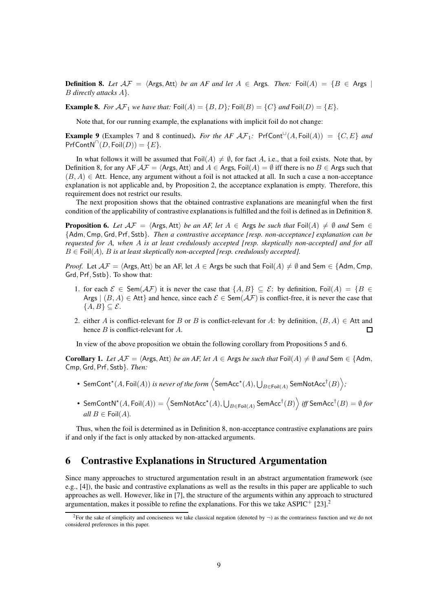<span id="page-8-2"></span>**Definition 8.** Let  $AF = \langle \text{Args}, \text{Att} \rangle$  be an AF and let  $A \in \text{Args}$ . Then: Foil $(A) = \{B \in \text{Args} \mid A\}$ B *directly attacks* A}*.*

<span id="page-8-1"></span>**Example 8.** For  $\mathcal{AF}_1$  we have that:  $\text{Foil}(A) = \{B, D\}$ ;  $\text{Foil}(B) = \{C\}$  and  $\text{Foil}(D) = \{E\}$ .

Note that, for our running example, the explanations with implicit foil do not change:

**Example 9** (Examples [7](#page-7-0) and [8](#page-8-1) continued). *For the AF*  $\mathcal{AF}_1$ *:* PrfCont<sup> $\cup$ </sup>(A, Foil(A)) = {C, E} and  $Prf\text{ContN}^{\cap}(D, \text{Foil}(D)) = \{E\}.$ 

In what follows it will be assumed that Foil $(A) \neq \emptyset$ , for fact A, i.e., that a foil exists. Note that, by Definition [8,](#page-8-2) for any AF  $A\mathcal{F} = \langle \text{Args}, \text{Att} \rangle$  and  $A \in \text{Args}, \text{Foil}(A) = \emptyset$  iff there is no  $B \in \text{Args}$  such that  $(B, A) \in$  Att. Hence, any argument without a foil is not attacked at all. In such a case a non-acceptance explanation is not applicable and, by Proposition [2,](#page-4-1) the acceptance explanation is empty. Therefore, this requirement does not restrict our results.

The next proposition shows that the obtained contrastive explanations are meaningful when the first condition of the applicability of contrastive explanations is fulfilled and the foil is defined as in Definition [8.](#page-8-2)

<span id="page-8-3"></span>**Proposition 6.** Let  $AF = \langle \text{Args}, \text{Att} \rangle$  *be an AF, let*  $A \in \text{Args}$  *be such that*  $\text{Foil}(A) \neq \emptyset$  *and* Sem  $\in$ {Adm, Cmp, Grd, Prf, Sstb}*. Then a contrastive acceptance [resp. non-acceptance] explanation can be requested for* A*, when* A *is at least credulously accepted [resp. skeptically non-accepted] and for all*  $B \in \text{Foil}(A)$ , B is at least skeptically non-accepted [resp. credulously accepted].

*Proof.* Let  $A\mathcal{F} = \langle \text{Args}, \text{Att} \rangle$  be an AF, let  $A \in \text{Args}$  be such that  $\text{Foil}(A) \neq \emptyset$  and Sem  $\in \{\text{Adm}, \text{Cmp}, \text{Cmp}\}$ Grd, Prf, Sstb}. To show that:

- 1. for each  $\mathcal{E} \in \text{Sem}(\mathcal{AF})$  it is never the case that  $\{A, B\} \subseteq \mathcal{E}$ : by definition, Foil $(A) = \{B \in \mathcal{B} \mid B \in \mathcal{B}\}$ Args  $|(B, A) \in$  Att and hence, since each  $\mathcal{E} \in$  Sem( $\mathcal{A}\mathcal{F}$ ) is conflict-free, it is never the case that  ${A, B} \subset \mathcal{E}.$
- 2. either A is conflict-relevant for B or B is conflict-relevant for A: by definition,  $(B, A) \in$  Att and hence *B* is conflict-relevant for *A*.  $\Box$

In view of the above proposition we obtain the following corollary from Propositions [5](#page-7-1) and [6.](#page-8-3)

<span id="page-8-5"></span>**Corollary 1.** *Let*  $AF = \langle \text{Args}, \text{Att} \rangle$  *be an AF, let*  $A \in \text{Args}$  *be such that*  $\text{Foil}(A) \neq \emptyset$  *and* Sem  $\in \{\text{Adm}, \text{Ext}\}$ Cmp, Grd, Prf, Sstb}*. Then:*

- SemCont $^\star(A, \mathsf{Foil}(A))$  *is never of the form*  $\left\langle \mathsf{SemAcc}^\star(A), \bigcup_{B \in \mathsf{Foil}(A)} \mathsf{SemNotAcc}^\dagger(B) \right\rangle;$
- $\bullet \;$  SemContN\* $(A, \textsf{Foil}(A)) = \left\langle \textsf{SemNotAcc}^{\star}(A), \bigcup_{B \in \textsf{Foil}(A)} \textsf{SemAcc}^{\dagger}(B) \right\rangle$  *iff* SemAcc $^{\dagger}(B) = \emptyset$  *for all*  $B \in \text{Foil}(A)$ .

Thus, when the foil is determined as in Definition [8,](#page-8-2) non-acceptance contrastive explanations are pairs if and only if the fact is only attacked by non-attacked arguments.

# <span id="page-8-0"></span>6 Contrastive Explanations in Structured Argumentation

Since many approaches to structured argumentation result in an abstract argumentation framework (see e.g., [\[4\]](#page-13-1)), the basic and contrastive explanations as well as the results in this paper are applicable to such approaches as well. However, like in [\[7\]](#page-14-3), the structure of the arguments within any approach to structured argumentation, makes it possible to refine the explanations. For this we take ASPIC<sup>+</sup> [\[23\]](#page-15-5).<sup>[2](#page-8-4)</sup>

<span id="page-8-4"></span><sup>&</sup>lt;sup>2</sup>For the sake of simplicity and conciseness we take classical negation (denoted by  $\neg$ ) as the contrariness function and we do not considered preferences in this paper.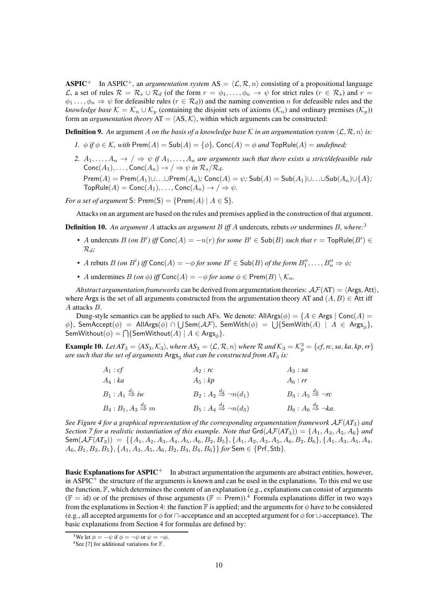ASPIC<sup>+</sup> In ASPIC<sup>+</sup>, an *argumentation system* AS =  $\langle \mathcal{L}, \mathcal{R}, n \rangle$  consisting of a propositional language L, a set of rules  $\mathcal{R} = \mathcal{R}_s \cup \mathcal{R}_d$  (of the form  $r = \phi_1, \ldots, \phi_n \to \psi$  for strict rules  $(r \in \mathcal{R}_s)$  and  $r =$  $\phi_1 \ldots, \phi_n \Rightarrow \psi$  for defeasible rules  $(r \in \mathcal{R}_d)$  and the naming convention n for defeasible rules and the *knowledge base*  $K = \mathcal{K}_n \cup \mathcal{K}_p$  (containing the disjoint sets of axioms  $(\mathcal{K}_n)$  and ordinary premises  $(\mathcal{K}_p)$ ) form an *argumentation theory*  $AT = \langle AS, \mathcal{K} \rangle$ , within which arguments can be constructed:

**Definition 9.** An argument A *on the basis of a knowledge base* K *in an argumentation system*  $\langle \mathcal{L}, \mathcal{R}, n \rangle$  *is:* 

- *1.*  $\phi$  *if*  $\phi \in \mathcal{K}$ , with Prem(A) = Sub(A) = { $\phi$ }, Conc(A) =  $\phi$  *and* TopRule(A) = *undefined*;
- 2.  $A_1, \ldots, A_n \to / \Rightarrow \psi$  if  $A_1, \ldots, A_n$  are arguments such that there exists a strict/defeasible rule  $\mathsf{Conc}(A_1), \ldots, \mathsf{Conc}(A_n) \to / \Rightarrow \psi$  in  $\mathcal{R}_s/\mathcal{R}_d$ .

 $\mathsf{Prem}(A) = \mathsf{Prem}(A_1) \cup \ldots \cup \mathsf{Prem}(A_n)$ ;  $\mathsf{Conc}(A) = \psi$ ;  $\mathsf{Sub}(A) = \mathsf{Sub}(A_1) \cup \ldots \cup \mathsf{Sub}(A_n) \cup \{A\}$ ;  $\mathsf{TopRule}(A) = \mathsf{Conc}(A_1), \ldots, \mathsf{Conc}(A_n) \rightarrow / \Rightarrow \psi.$ 

*For a set of argument* S:  $\text{Prem}(S) = \{\text{Prem}(A) \mid A \in S\}.$ 

Attacks on an argument are based on the rules and premises applied in the construction of that argument.

Definition 10. *An argument* A attacks *an argument* B *iff* A undercuts*,* rebuts *or* undermines B*, where:*[3](#page-9-0)

- A undercuts  $B$  *(on B')* iff  $\text{Conc}(A) = -n(r)$  *for some*  $B' \in \text{Sub}(B)$  *such that*  $r = \text{TopRule}(B') \in$ Rd*;*
- A rebuts  $B$  *(on B')* iff  $\textsf{Conc}(A) = -\phi$  for some  $B' \in \textsf{Sub}(B)$  of the form  $B''_1, \ldots, B''_n \Rightarrow \phi$ ;
- A undermines  $B$  *(on*  $\phi$ *)* iff  $Conc(A) = -\phi$  *for some*  $\phi \in Prem(B) \setminus \mathcal{K}_n$ *.*

*Abstract argumentation frameworks* can be derived from argumentation theories:  $\mathcal{A}(\text{AT}) = \langle \text{Args}, \text{Att} \rangle$ , where Args is the set of all arguments constructed from the argumentation theory AT and  $(A, B) \in$  Att iff A attacks B.

Dung-style semantics can be applied to such AFs. We denote: AllArgs( $\phi$ ) = {A  $\in$  Args | Conc(A) =  $\{\phi\}$ , SemAccept $(\phi)~=~$  AllArgs $(\phi)~\cap~\bigcup$ Sem $({\cal AF})$ , SemWith $(\phi)~=~\bigcup \{\mathsf{SemWith}(A)~|~A~\in~\mathsf{Args}_\phi\},$  $\mathsf{SemWithout}(\phi)=\bigcap \{\mathsf{SemWithout}(A)\mid A\in\mathsf{Args}_\phi\}.$ 

<span id="page-9-2"></span>**Example 10.** Let  $AT_3 = \langle AS_3, K_3 \rangle$ , where  $AS_3 = \langle \mathcal{L}, \mathcal{R}, n \rangle$  where  $\mathcal{R}$  and  $K_3 = K_p^3 = \{cf, rc, sa, ka, kp, rr\}$ *are such that the set of arguments* Args<sup>3</sup> *that can be constructed from AT*<sup>3</sup> *is:*

| $A_1:cf$                                  | $A_2:$ rc                                          | $A_3$ : sa                                      |
|-------------------------------------------|----------------------------------------------------|-------------------------------------------------|
| $A_4:ka$                                  | $A_5:kp$                                           | $A_6:rr$                                        |
| $B_1: A_1 \stackrel{d_1}{\Rightarrow} iw$ | $B_2: A_2 \stackrel{d_2}{\Rightarrow} \neg n(d_1)$ | $B_3: A_5 \stackrel{d_5}{\Rightarrow} \neg r c$ |
| $B_4:B_1, A_3\overset{d_3}{\Rightarrow}m$ | $B_5: A_4 \stackrel{d_4}{\Rightarrow} \neg n(d_3)$ | $B_6: A_6 \stackrel{d_6}{\Rightarrow} \neg ka.$ |

*See Figure [4](#page-10-0) for a graphical representation of the corresponding argumentation framework* AF(*AT*3) *and Section 7 for a realistic instantiation of this example. Note that*  $\text{Grd}(\mathcal{AF}(AT_3)) = \{A_1, A_3, A_5, A_6\}$  *and*  $Sem(\mathcal{AF}(AT_3)) = \{ \{A_1, A_2, A_3, A_4, A_5, A_6, B_2, B_5\}, \{A_1, A_2, A_3, A_5, A_6, B_2, B_6\}, \{A_1, A_3, A_5, A_4, A_6, B_4, A_6, B_6\}$  $A_6, B_1, B_3, B_5$ }, { $A_1, A_3, A_5, A_6, B_2, B_3, B_4, B_6$ } *for* Sem  $\in$  {Prf, Stb}.

Basic Explanations for ASPIC<sup>+</sup> In abstract argumentation the arguments are abstract entities, however, in ASPIC<sup>+</sup> the structure of the arguments is known and can be used in the explanations. To this end we use the function,  $\mathbb{F}$ , which determines the content of an explanation (e.g., explanations can consist of arguments ( $\mathbb{F} =$  id) or of the premises of those arguments ( $\mathbb{F} =$  Prem)).<sup>[4](#page-9-1)</sup> Formula explanations differ in two ways from the explanations in Section [4:](#page-3-0) the function F is applied; and the arguments for  $\phi$  have to be considered (e.g., all accepted arguments for  $\phi$  for  $\cap$ -acceptance and an accepted argument for  $\phi$  for ∪-acceptance). The basic explanations from Section [4](#page-3-0) for formulas are defined by:

<sup>&</sup>lt;sup>3</sup>We let  $\phi = -\psi$  if  $\phi = -\psi$  or  $\psi = -\phi$ .

<span id="page-9-1"></span><span id="page-9-0"></span><sup>&</sup>lt;sup>4</sup>See [\[7\]](#page-14-3) for additional variations for  $\mathbb{F}$ .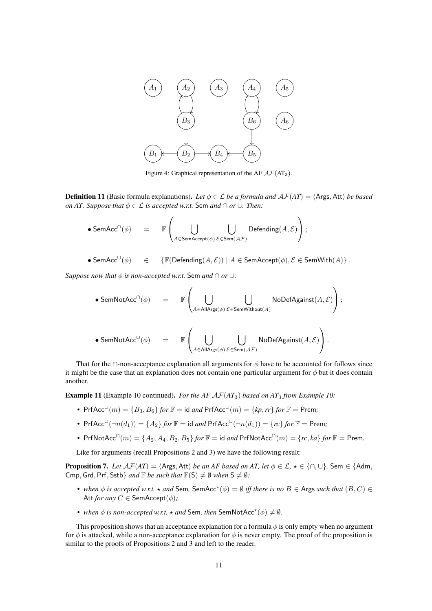<span id="page-10-0"></span>

Figure 4: Graphical representation of the AF  $A\mathcal{F}(AT_3)$ .

**Definition 11** (Basic formula explanations). Let  $\phi \in \mathcal{L}$  be a formula and  $\mathcal{A}\mathcal{F}(AT) = \langle \text{Args, Att} \rangle$  be based *on AT. Suppose that*  $\phi \in \mathcal{L}$  *is accepted w.r.t.* Sem *and*  $\cap$  *or*  $\cup$ *. Then:* 

$$
\bullet \; \mathsf{SemAcc}^{\cap}(\phi) \quad = \quad \mathbb{F}\left( \bigcup_{A \in \mathsf{SemAccept}(\phi)} \bigcup_{\mathcal{E} \in \mathsf{Sem}(\mathcal{AF})} \mathsf{Defending}(A, \mathcal{E}) \right);
$$

$$
\bullet \; \mathsf{SemAcc}^{\cup}(\phi) \quad \in \quad \{ \mathbb{F}(\mathsf{Defending}(A, \mathcal{E})) \mid A \in \mathsf{SemAccept}(\phi), \mathcal{E} \in \mathsf{SemWith}(A) \} \, .
$$

*Suppose now that*  $\phi$  *is non-accepted w.r.t.* Sem *and*  $\cap$  *or* ∪*:* 

$$
\begin{array}{lcl} \bullet \; {\sf SemNotAcc}^{\cap}(\phi) & = & \mathbb{F} \left( \bigcup_{A \in {\sf AllArgs}(\phi)} \bigcup_{\mathcal{E} \in {\sf SemWithout}(A)} {\sf NoDefAgainst}(A, \mathcal{E}) \right); \\ \\ \bullet \; {\sf SemNotAcc}^{\cup}(\phi) & = & \mathbb{F} \left( \bigcup_{A \in {\sf AllArgs}(\phi)} \bigcup_{\mathcal{E} \in {\sf Sem}(\mathcal{AF})} {\sf NoDefAgainst}(A, \mathcal{E}) \right). \end{array}
$$

That for the ∩-non-acceptance explanation all arguments for  $\phi$  have to be accounted for follows since it might be the case that an explanation does not contain one particular argument for  $\phi$  but it does contain another.

<span id="page-10-1"></span>Example 11 (Example [10](#page-9-2) continued). For the AF  $\mathcal{AF}(AT_3)$  based on  $AT_3$  from Example [10:](#page-9-2)

- Prf $Acc^{\cup}(m) = \{B_3, B_6\}$  *for*  $\mathbb{F} =$  id *and* Prf $Acc^{\cup}(m) = \{kp, rr\}$  *for*  $\mathbb{F} =$  Prem;
- Prf $Acc^{\cup}(\neg n(d_1)) = \{A_2\}$  *for*  $\mathbb{F} =$  id *and* Prf $Acc^{\cup}(\neg n(d_1)) = \{rc\}$  *for*  $\mathbb{F} =$  Prem*;*
- PrfNotAcc<sup>∩</sup> $(m) = \{A_2, A_4, B_2, B_5\}$  *for*  $\mathbb{F} =$  id *and* PrfNotAcc<sup>∩</sup> $(m) = \{rc, ka\}$  *for*  $\mathbb{F} =$  Prem.

Like for arguments (recall Propositions [2](#page-4-1) and [3\)](#page-5-1) we have the following result:

<span id="page-10-2"></span>**Proposition 7.** *Let*  $\mathcal{A}\mathcal{F}(AT) = \langle \text{Args}, \text{Att} \rangle$  *be an AF based on AT, let*  $\phi \in \mathcal{L}, \star \in \{\cap, \cup\}$ *,* Sem  $\in \{\text{Adm}, \text{Aut} \}$ Cmp, Grd, Prf, Sstb} *and*  $\mathbb{F}$  *be such that*  $\mathbb{F}(S) \neq \emptyset$  *when*  $S \neq \emptyset$ *:* 

- *when*  $\phi$  *is accepted w.r.t.*  $\star$  *and* Sem, SemAcc<sup> $\star$ </sup>( $\phi$ ) =  $\emptyset$  *iff there is no*  $B \in$  Args *such that*  $(B, C) \in$ Att *for any*  $C \in$  SemAccept( $\phi$ );
- *when*  $\phi$  *is non-accepted w.r.t.*  $\star$  *and* Sem, *then* SemNotAcc<sup> $\star$ </sup>( $\phi$ )  $\neq$   $\emptyset$ .

This proposition shows that an acceptance explanation for a formula  $\phi$  is only empty when no argument for  $\phi$  is attacked, while a non-acceptance explanation for  $\phi$  is never empty. The proof of the proposition is similar to the proofs of Propositions [2](#page-4-1) and [3](#page-5-1) and left to the reader.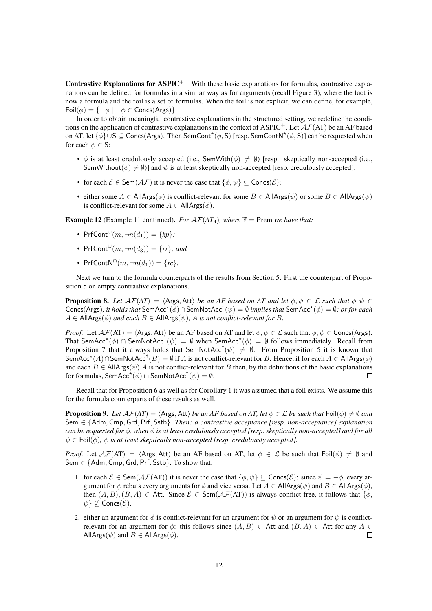Contrastive Explanations for ASPIC<sup>+</sup> With these basic explanations for formulas, contrastive explanations can be defined for formulas in a similar way as for arguments (recall Figure [3\)](#page-6-2), where the fact is now a formula and the foil is a set of formulas. When the foil is not explicit, we can define, for example, Foil $(\phi) = \{-\phi \mid -\phi \in \text{Concs}(\text{Args})\}.$ 

In order to obtain meaningful contrastive explanations in the structured setting, we redefine the conditions on the application of contrastive explanations in the context of ASPIC<sup>+</sup>. Let  $A\mathcal{F}(AT)$  be an AF based on AT, let  $\{\phi\} \cup S \subseteq \textsf{Concs}(Args)$ . Then SemCont<sup>\*</sup> $(\phi, S)$  [resp. SemContN<sup>\*</sup> $(\phi, S)$ ] can be requested when for each  $\psi \in \mathsf{S}$ :

- $\phi$  is at least credulously accepted (i.e., SemWith( $\phi$ )  $\neq$  Ø) [resp. skeptically non-accepted (i.e., SemWithout( $\phi$ )  $\neq$   $\emptyset$ )] and  $\psi$  is at least skeptically non-accepted [resp. credulously accepted];
- for each  $\mathcal{E} \in \text{Sem}(\mathcal{AF})$  it is never the case that  $\{\phi, \psi\} \subseteq \text{Concs}(\mathcal{E});$
- either some  $A \in AllArgs(\phi)$  is conflict-relevant for some  $B \in AllArgs(\psi)$  or some  $B \in AllArgs(\psi)$ is conflict-relevant for some  $A \in AllArgs(\phi)$ .

<span id="page-11-2"></span>**Example 12** (Example [11](#page-10-1) continued). *For*  $AF(AT_A)$ *, where*  $\mathbb{F} =$  Prem *we have that:* 

- PrfCont $\cup^{\cup} (m, \neg n(d_1)) = \{kp\}$ ;
- PrfCont<sup> $\cup$ </sup> $(m, \neg n(d_3)) = \{rr\}$ *; and*
- $PrfContN^{\cap}(m, \neg n(d_1)) = \{rc\}.$

Next we turn to the formula counterparts of the results from Section [5.](#page-6-0) First the counterpart of Proposition [5](#page-7-1) on empty contrastive explanations.

<span id="page-11-0"></span>**Proposition 8.** Let  $\mathcal{A}\mathcal{F}(AT) = \langle \text{Args}, \text{Att} \rangle$  be an AF based on AT and let  $\phi, \psi \in \mathcal{L}$  such that  $\phi, \psi \in \mathcal{L}$  $Concs(Args)$ , it holds that  $SemAcc^{\star}(\phi) \cap SemNotAcc^{\dagger}(\psi) = \emptyset$  implies that  $SemAcc^{\star}(\phi) = \emptyset$ ; or for each  $A \in$  AllArgs( $\phi$ ) *and each*  $B \in$  AllArgs( $\psi$ ), A *is not conflict-relevant for* B.

*Proof.* Let  $\mathcal{AF}(AT) = \langle \text{Args}, \text{Att} \rangle$  be an AF based on AT and let  $\phi, \psi \in \mathcal{L}$  such that  $\phi, \psi \in \text{Concs}(\text{Args})$ . That SemAcc<sup>\*</sup>( $\phi$ )  $\cap$  SemNotAcc<sup>†</sup>( $\psi$ ) = Ø when SemAcc<sup>\*</sup>( $\phi$ ) = Ø follows immediately. Recall from Proposition [7](#page-10-2) that it always holds that SemNotAcc<sup>†</sup> $(\psi) \neq \emptyset$ . From Proposition [5](#page-7-1) it is known that SemAcc<sup>\*</sup>(A)∩SemNotAcc<sup>†</sup>(B) =  $\emptyset$  if A is not conflict-relevant for B. Hence, if for each  $A \in$  AllArgs( $\phi$ ) and each  $B \in AllArgs(\psi)$  A is not conflict-relevant for B then, by the definitions of the basic explanations for formulas, SemAcc $^{\star}(\phi)\cap$  SemNotAcc $^{\dagger}(\psi)=\emptyset.$  $\Box$ 

Recall that for Proposition [6](#page-8-3) as well as for Corollary [1](#page-8-5) it was assumed that a foil exists. We assume this for the formula counterparts of these results as well.

<span id="page-11-1"></span>**Proposition 9.** *Let*  $\mathcal{A}\mathcal{F}(AT) = \langle \text{Args}, \text{Att} \rangle$  *be an AF based on AT, let*  $\phi \in \mathcal{L}$  *be such that* Foil $(\phi) \neq \emptyset$  *and* Sem ∈ {Adm, Cmp, Grd, Prf, Sstb}*. Then: a contrastive acceptance [resp. non-acceptance] explanation can be requested for* φ*, when* φ *is at least credulously accepted [resp. skeptically non-accepted] and for all*  $\psi \in \text{Foil}(\phi)$ ,  $\psi$  *is at least skeptically non-accepted [resp. credulously accepted]*.

*Proof.* Let  $\mathcal{AF}(AT) = \langle \text{Args}, \text{Att} \rangle$  be an AF based on AT, let  $\phi \in \mathcal{L}$  be such that Foil $(\phi) \neq \emptyset$  and Sem  $\in$  {Adm, Cmp, Grd, Prf, Sstb}. To show that:

- 1. for each  $\mathcal{E} \in \text{Sem}(\mathcal{AF}(AT))$  it is never the case that  $\{\phi, \psi\} \subseteq \text{Concs}(\mathcal{E})$ : since  $\psi = -\phi$ , every argument for  $\psi$  rebuts every arguments for  $\phi$  and vice versa. Let  $A \in AllArgs(\psi)$  and  $B \in AllArgs(\phi)$ , then  $(A, B), (B, A) \in$  Att. Since  $\mathcal{E} \in \text{Sem}(\mathcal{AF}(AT))$  is always conflict-free, it follows that  $\{\phi$ ,  $\psi$ }  $\nsubseteq$  Concs( $\mathcal{E}$ ).
- 2. either an argument for  $\phi$  is conflict-relevant for an argument for  $\psi$  or an argument for  $\psi$  is conflictrelevant for an argument for  $\phi$ : this follows since  $(A, B) \in$  Att and  $(B, A) \in$  Att for any  $A \in$ AllArgs( $\psi$ ) and  $B \in$  AllArgs( $\phi$ ).  $\Box$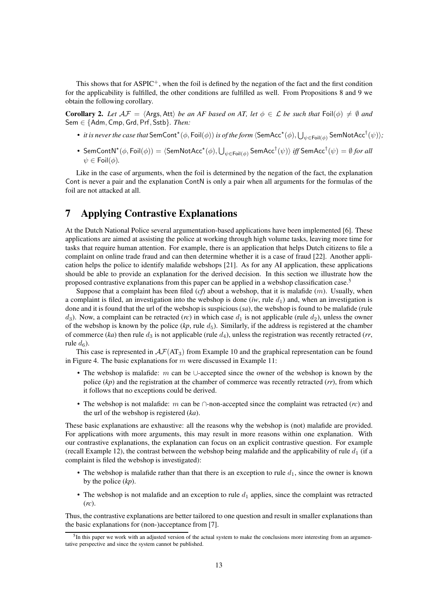This shows that for  $\text{ASPIC}^+$ , when the foil is defined by the negation of the fact and the first condition for the applicability is fulfilled, the other conditions are fulfilled as well. From Propositions [8](#page-11-0) and [9](#page-11-1) we obtain the following corollary.

**Corollary 2.** Let  $A\mathcal{F} = \langle \text{Args}, \text{Att} \rangle$  be an AF based on AT, let  $\phi \in \mathcal{L}$  be such that  $\text{Foil}(\phi) \neq \emptyset$  and Sem ∈ {Adm, Cmp, Grd, Prf, Sstb}*. Then:*

- *it is never the case that* SemCont\* $(\phi, \text{Foil}(\phi))$  *is of the form*  $\langle \text{SemAcc}^{\star}(\phi), \bigcup_{\psi \in \text{Foil}(\phi)} \text{SemNotAcc}^{\dagger}(\psi) \rangle;$
- $\bullet \;$  SemContN\* $(\phi,\textsf{Foil}(\phi))=\langle \textsf{SemNotAcc}^{\star}(\phi),\bigcup_{\psi\in \textsf{Foil}(\phi)}\textsf{SemAcc}^{\dagger}(\psi)\rangle$  *iff* SemAcc $^{\dagger}(\psi)=\emptyset$  *for all*  $\psi \in \text{Foil}(\phi)$ .

Like in the case of arguments, when the foil is determined by the negation of the fact, the explanation Cont is never a pair and the explanation ContN is only a pair when all arguments for the formulas of the foil are not attacked at all.

# <span id="page-12-0"></span>7 Applying Contrastive Explanations

At the Dutch National Police several argumentation-based applications have been implemented [\[6\]](#page-14-14). These applications are aimed at assisting the police at working through high volume tasks, leaving more time for tasks that require human attention. For example, there is an application that helps Dutch citizens to file a complaint on online trade fraud and can then determine whether it is a case of fraud [\[22\]](#page-15-6). Another application helps the police to identify malafide webshops [\[21\]](#page-15-7). As for any AI application, these applications should be able to provide an explanation for the derived decision. In this section we illustrate how the proposed contrastive explanations from this paper can be applied in a webshop classification case.[5](#page-12-1)

Suppose that a complaint has been filed  $(cf)$  about a webshop, that it is malafide  $(m)$ . Usually, when a complaint is filed, an investigation into the webshop is done  $(iw, rule d<sub>1</sub>)$  and, when an investigation is done and it is found that the url of the webshop is suspicious (*sa*), the webshop is found to be malafide (rule  $d_3$ ). Now, a complaint can be retracted (*rc*) in which case  $d_1$  is not applicable (rule  $d_2$ ), unless the owner of the webshop is known by the police  $(kp)$ , rule  $d_5$ ). Similarly, if the address is registered at the chamber of commerce ( $ka$ ) then rule  $d_3$  is not applicable (rule  $d_4$ ), unless the registration was recently retracted ( $rr$ , rule  $d_6$ ).

This case is represented in  $\mathcal{A}F(\text{AT}_3)$  from Example [10](#page-9-2) and the graphical representation can be found in Figure [4.](#page-10-0) The basic explanations for  $m$  were discussed in Example [11:](#page-10-1)

- The webshop is malafide:  $m$  can be ∪-accepted since the owner of the webshop is known by the police (*kp*) and the registration at the chamber of commerce was recently retracted (*rr*), from which it follows that no exceptions could be derived.
- The webshop is not malafide: m can be ∩-non-accepted since the complaint was retracted (*rc*) and the url of the webshop is registered (*ka*).

These basic explanations are exhaustive: all the reasons why the webshop is (not) malafide are provided. For applications with more arguments, this may result in more reasons within one explanation. With our contrastive explanations, the explanation can focus on an explicit contrastive question. For example (recall Example [12\)](#page-11-2), the contrast between the webshop being malafide and the applicability of rule  $d_1$  (if a complaint is filed the webshop is investigated):

- The webshop is malafide rather than that there is an exception to rule  $d_1$ , since the owner is known by the police (*kp*).
- The webshop is not malafide and an exception to rule  $d_1$  applies, since the complaint was retracted (*rc*).

Thus, the contrastive explanations are better tailored to one question and result in smaller explanations than the basic explanations for (non-)acceptance from [\[7\]](#page-14-3).

<span id="page-12-1"></span><sup>&</sup>lt;sup>5</sup>In this paper we work with an adjusted version of the actual system to make the conclusions more interesting from an argumentative perspective and since the system cannot be published.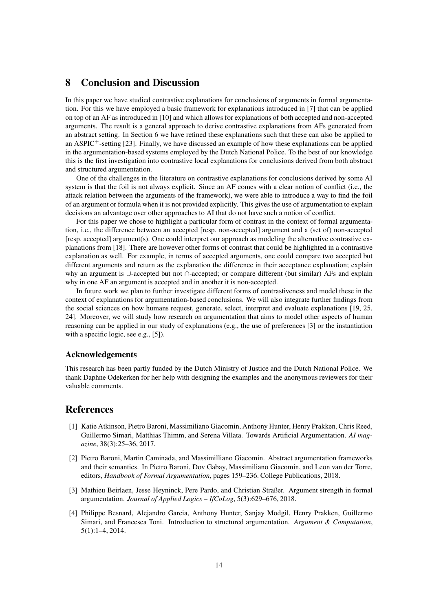# <span id="page-13-2"></span>8 Conclusion and Discussion

In this paper we have studied contrastive explanations for conclusions of arguments in formal argumentation. For this we have employed a basic framework for explanations introduced in [\[7\]](#page-14-3) that can be applied on top of an AF as introduced in [\[10\]](#page-14-1) and which allows for explanations of both accepted and non-accepted arguments. The result is a general approach to derive contrastive explanations from AFs generated from an abstract setting. In Section [6](#page-8-0) we have refined these explanations such that these can also be applied to an ASPIC<sup>+</sup>-setting [\[23\]](#page-15-5). Finally, we have discussed an example of how these explanations can be applied in the argumentation-based systems employed by the Dutch National Police. To the best of our knowledge this is the first investigation into contrastive local explanations for conclusions derived from both abstract and structured argumentation.

One of the challenges in the literature on contrastive explanations for conclusions derived by some AI system is that the foil is not always explicit. Since an AF comes with a clear notion of conflict (i.e., the attack relation between the arguments of the framework), we were able to introduce a way to find the foil of an argument or formula when it is not provided explicitly. This gives the use of argumentation to explain decisions an advantage over other approaches to AI that do not have such a notion of conflict.

For this paper we chose to highlight a particular form of contrast in the context of formal argumentation, i.e., the difference between an accepted [resp. non-accepted] argument and a (set of) non-accepted [resp. accepted] argument(s). One could interpret our approach as modeling the alternative contrastive explanations from [\[18\]](#page-14-9). There are however other forms of contrast that could be highlighted in a contrastive explanation as well. For example, in terms of accepted arguments, one could compare two accepted but different arguments and return as the explanation the difference in their acceptance explanation; explain why an argument is ∪-accepted but not ∩-accepted; or compare different (but similar) AFs and explain why in one AF an argument is accepted and in another it is non-accepted.

In future work we plan to further investigate different forms of contrastiveness and model these in the context of explanations for argumentation-based conclusions. We will also integrate further findings from the social sciences on how humans request, generate, select, interpret and evaluate explanations [\[19,](#page-14-10) [25,](#page-15-1) [24\]](#page-15-0). Moreover, we will study how research on argumentation that aims to model other aspects of human reasoning can be applied in our study of explanations (e.g., the use of preferences [\[3\]](#page-13-4) or the instantiation with a specific logic, see e.g., [\[5\]](#page-14-15)).

### Acknowledgements

This research has been partly funded by the Dutch Ministry of Justice and the Dutch National Police. We thank Daphne Odekerken for her help with designing the examples and the anonymous reviewers for their valuable comments.

## <span id="page-13-0"></span>References

- [1] Katie Atkinson, Pietro Baroni, Massimiliano Giacomin, Anthony Hunter, Henry Prakken, Chris Reed, Guillermo Simari, Matthias Thimm, and Serena Villata. Towards Artificial Argumentation. *AI magazine*, 38(3):25–36, 2017.
- <span id="page-13-3"></span>[2] Pietro Baroni, Martin Caminada, and Massimilliano Giacomin. Abstract argumentation frameworks and their semantics. In Pietro Baroni, Dov Gabay, Massimiliano Giacomin, and Leon van der Torre, editors, *Handbook of Formal Argumentation*, pages 159–236. College Publications, 2018.
- <span id="page-13-4"></span>[3] Mathieu Beirlaen, Jesse Heyninck, Pere Pardo, and Christian Straßer. Argument strength in formal argumentation. *Journal of Applied Logics – IfCoLog*, 5(3):629–676, 2018.
- <span id="page-13-1"></span>[4] Philippe Besnard, Alejandro Garcia, Anthony Hunter, Sanjay Modgil, Henry Prakken, Guillermo Simari, and Francesca Toni. Introduction to structured argumentation. *Argument & Computation*, 5(1):1–4, 2014.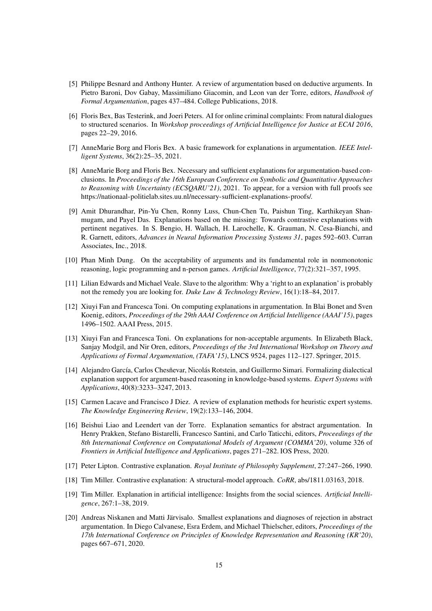- <span id="page-14-15"></span>[5] Philippe Besnard and Anthony Hunter. A review of argumentation based on deductive arguments. In Pietro Baroni, Dov Gabay, Massimiliano Giacomin, and Leon van der Torre, editors, *Handbook of Formal Argumentation*, pages 437–484. College Publications, 2018.
- <span id="page-14-14"></span>[6] Floris Bex, Bas Testerink, and Joeri Peters. AI for online criminal complaints: From natural dialogues to structured scenarios. In *Workshop proceedings of Artificial Intelligence for Justice at ECAI 2016*, pages 22–29, 2016.
- <span id="page-14-12"></span><span id="page-14-3"></span>[7] AnneMarie Borg and Floris Bex. A basic framework for explanations in argumentation. *IEEE Intelligent Systems*, 36(2):25–35, 2021.
- [8] AnneMarie Borg and Floris Bex. Necessary and sufficient explanations for argumentation-based conclusions. In *Proceedings of the 16th European Conference on Symbolic and Quantitative Approaches to Reasoning with Uncertainty (ECSQARU'21)*, 2021. To appear, for a version with full proofs see [https://nationaal-politielab.sites.uu.nl/necessary-sufficient-explanations-proofs/.](https://nationaal-politielab.sites.uu.nl/necessary-sufficient-explanations-proofs/)
- <span id="page-14-11"></span>[9] Amit Dhurandhar, Pin-Yu Chen, Ronny Luss, Chun-Chen Tu, Paishun Ting, Karthikeyan Shanmugam, and Payel Das. Explanations based on the missing: Towards contrastive explanations with pertinent negatives. In S. Bengio, H. Wallach, H. Larochelle, K. Grauman, N. Cesa-Bianchi, and R. Garnett, editors, *Advances in Neural Information Processing Systems 31*, pages 592–603. Curran Associates, Inc., 2018.
- <span id="page-14-1"></span>[10] Phan Minh Dung. On the acceptability of arguments and its fundamental role in nonmonotonic reasoning, logic programming and n-person games. *Artificial Intelligence*, 77(2):321–357, 1995.
- <span id="page-14-2"></span>[11] Lilian Edwards and Michael Veale. Slave to the algorithm: Why a 'right to an explanation' is probably not the remedy you are looking for. *Duke Law & Technology Review*, 16(1):18–84, 2017.
- <span id="page-14-4"></span>[12] Xiuyi Fan and Francesca Toni. On computing explanations in argumentation. In Blai Bonet and Sven Koenig, editors, *Proceedings of the 29th AAAI Conference on Artificial Intelligence (AAAI'15)*, pages 1496–1502. AAAI Press, 2015.
- <span id="page-14-5"></span>[13] Xiuyi Fan and Francesca Toni. On explanations for non-acceptable arguments. In Elizabeth Black, Sanjay Modgil, and Nir Oren, editors, *Proceedings of the 3rd International Workshop on Theory and Applications of Formal Argumentation, (TAFA'15)*, LNCS 9524, pages 112–127. Springer, 2015.
- <span id="page-14-6"></span>[14] Alejandro García, Carlos Chesñevar, Nicolás Rotstein, and Guillermo Simari. Formalizing dialectical explanation support for argument-based reasoning in knowledge-based systems. *Expert Systems with Applications*, 40(8):3233–3247, 2013.
- <span id="page-14-0"></span>[15] Carmen Lacave and Francisco J Diez. A review of explanation methods for heuristic expert systems. *The Knowledge Engineering Review*, 19(2):133–146, 2004.
- <span id="page-14-7"></span>[16] Beishui Liao and Leendert van der Torre. Explanation semantics for abstract argumentation. In Henry Prakken, Stefano Bistarelli, Francesco Santini, and Carlo Taticchi, editors, *Proceedings of the 8th International Conference on Computational Models of Argument (COMMA'20)*, volume 326 of *Frontiers in Artificial Intelligence and Applications*, pages 271–282. IOS Press, 2020.
- <span id="page-14-9"></span><span id="page-14-8"></span>[17] Peter Lipton. Contrastive explanation. *Royal Institute of Philosophy Supplement*, 27:247–266, 1990.
- <span id="page-14-10"></span>[18] Tim Miller. Contrastive explanation: A structural-model approach. *CoRR*, abs/1811.03163, 2018.
- [19] Tim Miller. Explanation in artificial intelligence: Insights from the social sciences. *Artificial Intelligence*, 267:1–38, 2019.
- <span id="page-14-13"></span>[20] Andreas Niskanen and Matti Järvisalo. Smallest explanations and diagnoses of rejection in abstract argumentation. In Diego Calvanese, Esra Erdem, and Michael Thielscher, editors, *Proceedings of the 17th International Conference on Principles of Knowledge Representation and Reasoning (KR'20)*, pages 667–671, 2020.